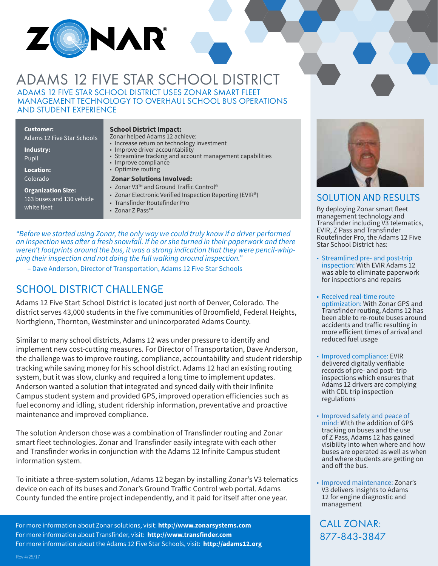

### ADAMS 12 FIVE STAR SCHOOL DISTRICT ADAMS 12 FIVE STAR SCHOOL DISTRICT USES ZONAR SMART FLEET MANAGEMENT TECHNOLOGY TO OVERHAUL SCHOOL BUS OPERATIONS AND STUDENT EXPERIENCE

**Customer:**  Adams 12 Five Star Schools

**Industry:**  Pupil

**Location:**  Colorado

**Organization Size:**  163 buses and 130 vehicle white fleet

#### **School District Impact:**

Zonar helped Adams 12 achieve:

- Increase return on technology investment
- Improve driver accountability
- Streamline tracking and account management capabilities
- Improve compliance • Optimize routing
- 
- **Zonar Solutions Involved:**
- Zonar V3™ and Ground Traffic Control®
- Zonar Electronic Verified Inspection Reporting (EVIR®)
- Transfinder Routefinder Pro
- Zonar Z Pass™

*"Before we started using Zonar, the only way we could truly know if a driver performed an inspection was after a fresh snowfall. If he or she turned in their paperwork and there weren't footprints around the bus, it was a strong indication that they were pencil-whipping their inspection and not doing the full walking around inspection."* 

– Dave Anderson, Director of Transportation, Adams 12 Five Star Schools

## SCHOOL DISTRICT CHALLENGE

Adams 12 Five Start School District is located just north of Denver, Colorado. The district serves 43,000 students in the five communities of Broomfield, Federal Heights, Northglenn, Thornton, Westminster and unincorporated Adams County.

Similar to many school districts, Adams 12 was under pressure to identify and implement new cost-cutting measures. For Director of Transportation, Dave Anderson, the challenge was to improve routing, compliance, accountability and student ridership tracking while saving money for his school district. Adams 12 had an existing routing system, but it was slow, clunky and required a long time to implement updates. Anderson wanted a solution that integrated and synced daily with their Infinite Campus student system and provided GPS, improved operation efficiencies such as fuel economy and idling, student ridership information, preventative and proactive maintenance and improved compliance.

The solution Anderson chose was a combination of Transfinder routing and Zonar smart fleet technologies. Zonar and Transfinder easily integrate with each other and Transfinder works in conjunction with the Adams 12 Infinite Campus student information system.

To initiate a three-system solution, Adams 12 began by installing Zonar's V3 telematics device on each of its buses and Zonar's Ground Traffic Control web portal. Adams County funded the entire project independently, and it paid for itself after one year.

For more information about Zonar solutions, visit: **http://www.zonarsystems.com** For more information about Transfinder, visit: **http://www.transfinder.com** For more information about the Adams 12 Five Star Schools, visit: **http://adams12.org**



### SOLUTION AND RESULTS

By deploying Zonar smart fleet management technology and Transfinder including V3 telematics, EVIR, Z Pass and Transfinder Routefinder Pro, the Adams 12 Five Star School District has:

- Streamlined pre- and post-trip inspection: With EVIR Adams 12 was able to eliminate paperwork for inspections and repairs
- Received real-time route optimization: With Zonar GPS and Transfinder routing, Adams 12 has been able to re-route buses around accidents and traffic resulting in more efficient times of arrival and reduced fuel usage
- Improved compliance: EVIR delivered digitally verifiable records of pre- and post- trip inspections which ensures that Adams 12 drivers are complying with CDL trip inspection regulations
- Improved safety and peace of mind: With the addition of GPS tracking on buses and the use of Z Pass, Adams 12 has gained visibility into when where and how buses are operated as well as when and where students are getting on and off the bus.
- Improved maintenance: Zonar's V3 delivers insights to Adams 12 for engine diagnostic and management

CALL ZONAR: 877-843-3847